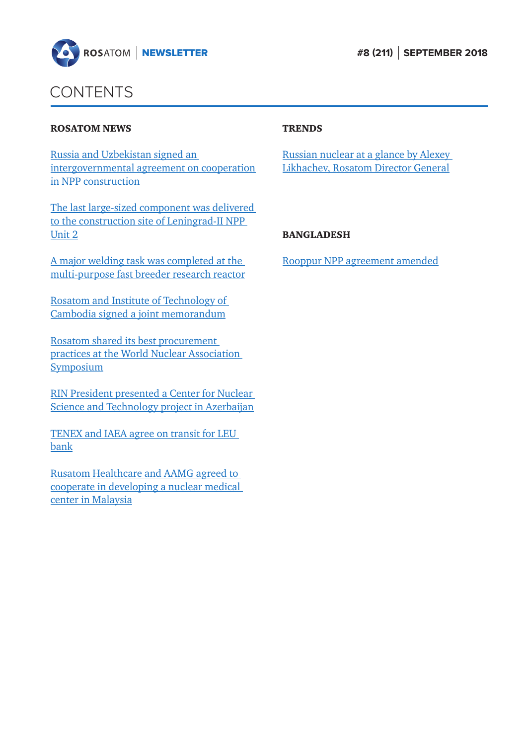



### CONTENTS

#### ROSATOM NEWS

Russia and Uzbekistan signed an [intergovernmental agreement on cooperation](#page-1-0)  in NPP construction

[The last large-sized component was delivered](#page-2-0)  to the construction site of Leningrad-II NPP Unit 2

A major welding task was completed at the [multi-purpose fast breeder research reactor](#page-3-0)

[Rosatom and Institute of Technology of](#page-3-0)  Cambodia signed a joint memorandum

Rosatom shared its best procurement [practices at the World Nuclear Association](#page-4-0)  **Symposium** 

[RIN President presented a Center for Nuclear](#page-5-0)  Science and Technology project in Azerbaijan

[TENEX and IAEA agree on transit for LEU](#page-6-0)  bank

Rusatom Healthcare and AAMG agreed to [cooperate in developing a nuclear medical](#page-7-0)  center in Malaysia

#### **TRENDS**

[Russian nuclear at a glance by Alexey](#page-9-0)  Likhachev, Rosatom Director General

#### BANGLADESH

[Rooppur NPP agreement amended](#page-12-0)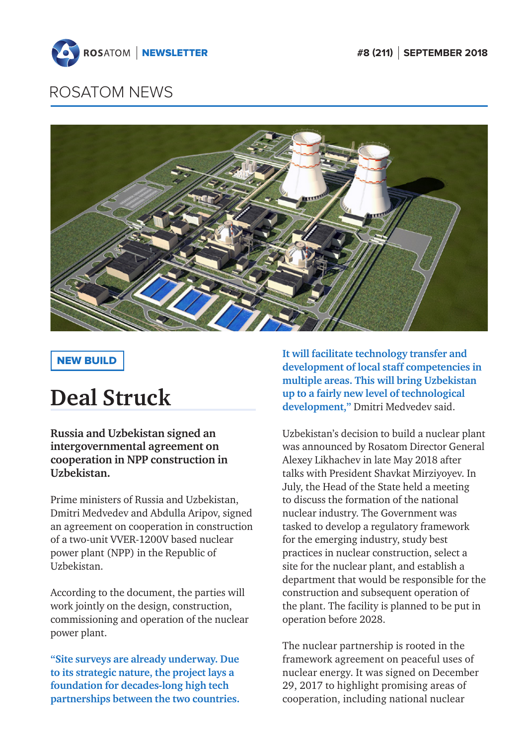<span id="page-1-0"></span>



### NEW BUILD

# **Deal Struck**

**Russia and Uzbekistan signed an intergovernmental agreement on cooperation in NPP construction in Uzbekistan.**

Prime ministers of Russia and Uzbekistan, Dmitri Medvedev and Abdulla Aripov, signed an agreement on cooperation in construction of a two-unit VVER-1200V based nuclear power plant (NPP) in the Republic of Uzbekistan.

According to the document, the parties will work jointly on the design, construction, commissioning and operation of the nuclear power plant.

**"Site surveys are already underway. Due to its strategic nature, the project lays a foundation for decades-long high tech partnerships between the two countries.**  **It will facilitate technology transfer and development of local staff competencies in multiple areas. This will bring Uzbekistan up to a fairly new level of technological development,"** Dmitri Medvedev said.

Uzbekistan's decision to build a nuclear plant was announced by Rosatom Director General Alexey Likhachev in late May 2018 after talks with President Shavkat Mirziyoyev. In July, the Head of the State held a meeting to discuss the formation of the national nuclear industry. The Government was tasked to develop a regulatory framework for the emerging industry, study best practices in nuclear construction, select a site for the nuclear plant, and establish a department that would be responsible for the construction and subsequent operation of the plant. The facility is planned to be put in operation before 2028.

The nuclear partnership is rooted in the framework agreement on peaceful uses of nuclear energy. It was signed on December 29, 2017 to highlight promising areas of cooperation, including national nuclear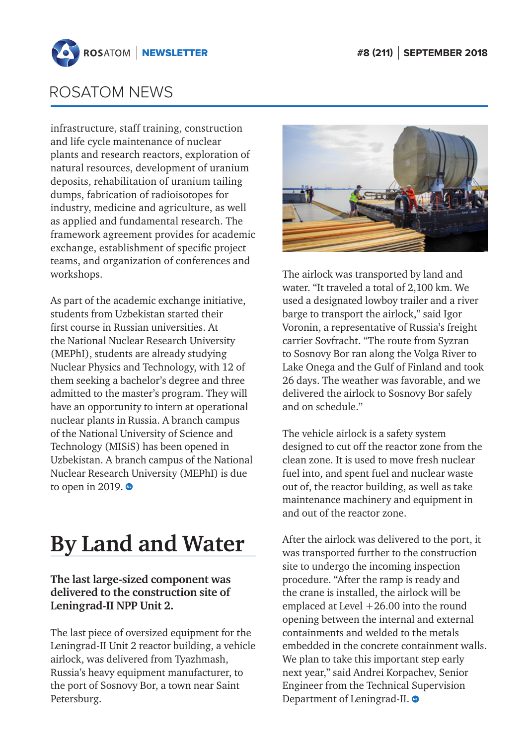<span id="page-2-0"></span>

infrastructure, staff training, construction and life cycle maintenance of nuclear plants and research reactors, exploration of natural resources, development of uranium deposits, rehabilitation of uranium tailing dumps, fabrication of radioisotopes for industry, medicine and agriculture, as well as applied and fundamental research. The framework agreement provides for academic exchange, establishment of specific project teams, and organization of conferences and workshops.

As part of the academic exchange initiative, students from Uzbekistan started their first course in Russian universities. At the National Nuclear Research University (MEPhI), students are already studying Nuclear Physics and Technology, with 12 of them seeking a bachelor's degree and three admitted to the master's program. They will have an opportunity to intern at operational nuclear plants in Russia. A branch campus of the National University of Science and Technology (MISiS) has been opened in Uzbekistan. A branch campus of the National Nuclear Research University (MEPhI) is due to open in 2019.  $\bullet$ 

# **By Land and Water**

### **The last large-sized component was delivered to the construction site of Leningrad-II NPP Unit 2.**

The last piece of oversized equipment for the Leningrad-II Unit 2 reactor building, a vehicle airlock, was delivered from Tyazhmash, Russia's heavy equipment manufacturer, to the port of Sosnovy Bor, a town near Saint Petersburg.



The airlock was transported by land and water. "It traveled a total of 2,100 km. We used a designated lowboy trailer and a river barge to transport the airlock," said Igor Voronin, a representative of Russia's freight carrier Sovfracht. "The route from Syzran to Sosnovy Bor ran along the Volga River to Lake Onega and the Gulf of Finland and took 26 days. The weather was favorable, and we delivered the airlock to Sosnovy Bor safely and on schedule."

The vehicle airlock is a safety system designed to cut off the reactor zone from the clean zone. It is used to move fresh nuclear fuel into, and spent fuel and nuclear waste out of, the reactor building, as well as take maintenance machinery and equipment in and out of the reactor zone.

After the airlock was delivered to the port, it was transported further to the construction site to undergo the incoming inspection procedure. "After the ramp is ready and the crane is installed, the airlock will be emplaced at Level +26.00 into the round opening between the internal and external containments and welded to the metals embedded in the concrete containment walls. We plan to take this important step early next year," said Andrei Korpachev, Senior Engineer from the Technical Supervision Department of Leningrad-II.  $\bullet$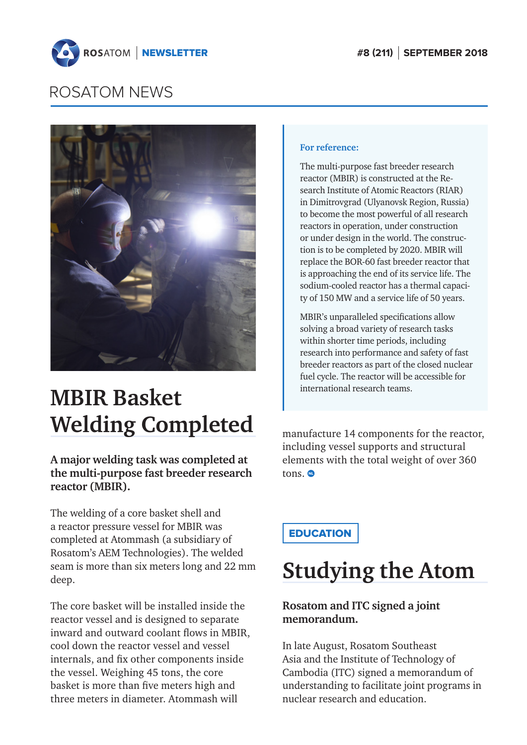<span id="page-3-0"></span>



# **MBIR Basket Welding Completed**

**A major welding task was completed at the multi-purpose fast breeder research reactor (MBIR).**

The welding of a core basket shell and a reactor pressure vessel for MBIR was completed at Atommash (a subsidiary of Rosatom's AEM Technologies). The welded seam is more than six meters long and 22 mm deep.

The core basket will be installed inside the reactor vessel and is designed to separate inward and outward coolant flows in MBIR, cool down the reactor vessel and vessel internals, and fix other components inside the vessel. Weighing 45 tons, the core basket is more than five meters high and three meters in diameter. Atommash will

#### **For reference:**

The multi-purpose fast breeder research reactor (MBIR) is constructed at the Research Institute of Atomic Reactors (RIAR) in Dimitrovgrad (Ulyanovsk Region, Russia) to become the most powerful of all research reactors in operation, under construction or under design in the world. The construction is to be completed by 2020. MBIR will replace the BOR-60 fast breeder reactor that is approaching the end of its service life. The sodium-cooled reactor has a thermal capacity of 150 MW and a service life of 50 years.

MBIR's unparalleled specifications allow solving a broad variety of research tasks within shorter time periods, including research into performance and safety of fast breeder reactors as part of the closed nuclear fuel cycle. The reactor will be accessible for international research teams.

manufacture 14 components for the reactor, including vessel supports and structural elements with the total weight of over 360 tons.<sup>®</sup>

**EDUCATION** 

## **Studying the Atom**

### **Rosatom and ITC signed a joint memorandum.**

In late August, Rosatom Southeast Asia and the Institute of Technology of Cambodia (ITC) signed a memorandum of understanding to facilitate joint programs in nuclear research and education.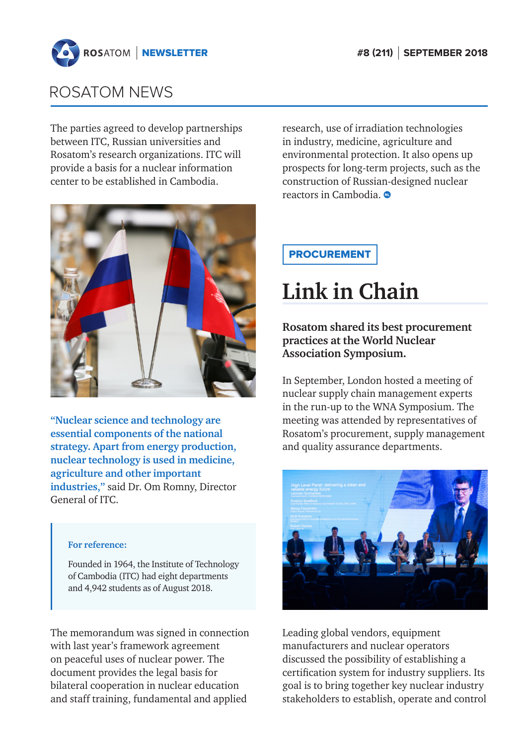<span id="page-4-0"></span>

The parties agreed to develop partnerships between ITC, Russian universities and Rosatom's research organizations. ITC will provide a basis for a nuclear information center to be established in Cambodia.



**"Nuclear science and technology are essential components of the national strategy. Apart from energy production, nuclear technology is used in medicine, agriculture and other important industries,"** said Dr. Om Romny, Director General of ITC.

#### **For reference:**

Founded in 1964, the Institute of Technology of Cambodia (ITC) had eight departments and 4,942 students as of August 2018.

The memorandum was signed in connection with last year's framework agreement on peaceful uses of nuclear power. The document provides the legal basis for bilateral cooperation in nuclear education and staff training, fundamental and applied

research, use of irradiation technologies in industry, medicine, agriculture and environmental protection. It also opens up prospects for long-term projects, such as the construction of Russian-designed nuclear reactors in Cambodia.

### PROCUREMENT

# **Link in Chain**

**Rosatom shared its best procurement practices at the World Nuclear Association Symposium.** 

In September, London hosted a meeting of nuclear supply chain management experts in the run-up to the WNA Symposium. The meeting was attended by representatives of Rosatom's procurement, supply management and quality assurance departments.



Leading global vendors, equipment manufacturers and nuclear operators discussed the possibility of establishing a certification system for industry suppliers. Its goal is to bring together key nuclear industry stakeholders to establish, operate and control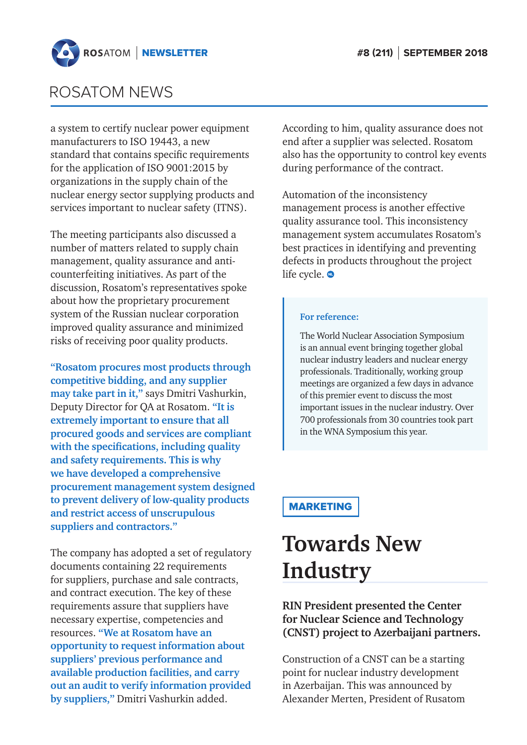<span id="page-5-0"></span>

a system to certify nuclear power equipment manufacturers to ISO 19443, a new standard that contains specific requirements for the application of ISO 9001:2015 by organizations in the supply chain of the nuclear energy sector supplying products and services important to nuclear safety (ITNS).

The meeting participants also discussed a number of matters related to supply chain management, quality assurance and anticounterfeiting initiatives. As part of the discussion, Rosatom's representatives spoke about how the proprietary procurement system of the Russian nuclear corporation improved quality assurance and minimized risks of receiving poor quality products.

**"Rosatom procures most products through competitive bidding, and any supplier may take part in it,"** says Dmitri Vashurkin, Deputy Director for QA at Rosatom. **"It is extremely important to ensure that all procured goods and services are compliant with the specifications, including quality and safety requirements. This is why we have developed a comprehensive procurement management system designed to prevent delivery of low-quality products and restrict access of unscrupulous suppliers and contractors."**

The company has adopted a set of regulatory documents containing 22 requirements for suppliers, purchase and sale contracts, and contract execution. The key of these requirements assure that suppliers have necessary expertise, competencies and resources. **"We at Rosatom have an opportunity to request information about suppliers' previous performance and available production facilities, and carry out an audit to verify information provided by suppliers,"** Dmitri Vashurkin added.

According to him, quality assurance does not end after a supplier was selected. Rosatom also has the opportunity to control key events during performance of the contract.

Automation of the inconsistency management process is another effective quality assurance tool. This inconsistency management system accumulates Rosatom's best practices in identifying and preventing defects in products throughout the project life cycle.  $\bullet$ 

#### **For reference:**

The World Nuclear Association Symposium is an annual event bringing together global nuclear industry leaders and nuclear energy professionals. Traditionally, working group meetings are organized a few days in advance of this premier event to discuss the most important issues in the nuclear industry. Over 700 professionals from 30 countries took part in the WNA Symposium this year.

### MARKETING

# **Towards New Industry**

### **RIN President presented the Center for Nuclear Science and Technology (CNST) project to Azerbaijani partners.**

Construction of a CNST can be a starting point for nuclear industry development in Azerbaijan. This was announced by Alexander Merten, President of Rusatom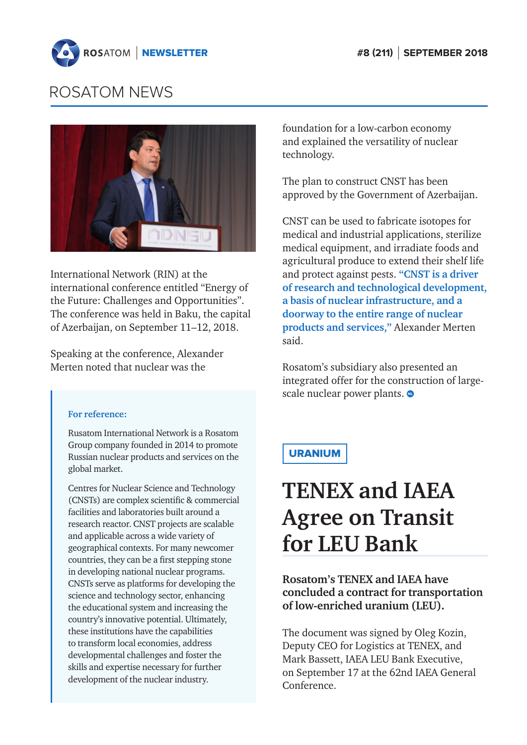<span id="page-6-0"></span>



International Network (RIN) at the international conference entitled "Energy of the Future: Challenges and Opportunities". The conference was held in Baku, the capital of Azerbaijan, on September 11–12, 2018.

Speaking at the conference, Alexander Merten noted that nuclear was the

#### **For reference:**

Rusatom International Network is a Rosatom Group company founded in 2014 to promote Russian nuclear products and services on the global market.

Centres for Nuclear Science and Technology (CNSTs) are complex scientific & commercial facilities and laboratories built around a research reactor. CNST projects are scalable and applicable across a wide variety of geographical contexts. For many newcomer countries, they can be a first stepping stone in developing national nuclear programs. CNSTs serve as platforms for developing the science and technology sector, enhancing the educational system and increasing the country's innovative potential. Ultimately, these institutions have the capabilities to transform local economies, address developmental challenges and foster the skills and expertise necessary for further development of the nuclear industry.

foundation for a low-carbon economy and explained the versatility of nuclear technology.

The plan to construct CNST has been approved by the Government of Azerbaijan.

CNST can be used to fabricate isotopes for medical and industrial applications, sterilize medical equipment, and irradiate foods and agricultural produce to extend their shelf life and protect against pests. **"CNST is a driver of research and technological development, a basis of nuclear infrastructure, and a doorway to the entire range of nuclear products and services,"** Alexander Merten said.

Rosatom's subsidiary also presented an integrated offer for the construction of largescale nuclear power plants.  $\bullet$ 

### URANIUM

# **TENEX and IAEA Agree on Transit for LEU Bank**

**Rosatom's TENEX and IAEA have concluded a contract for transportation of low-enriched uranium (LEU).**

The document was signed by Oleg Kozin, Deputy CEO for Logistics at TENEX, and Mark Bassett, IAEA LEU Bank Executive, on September 17 at the 62nd IAEA General Conference.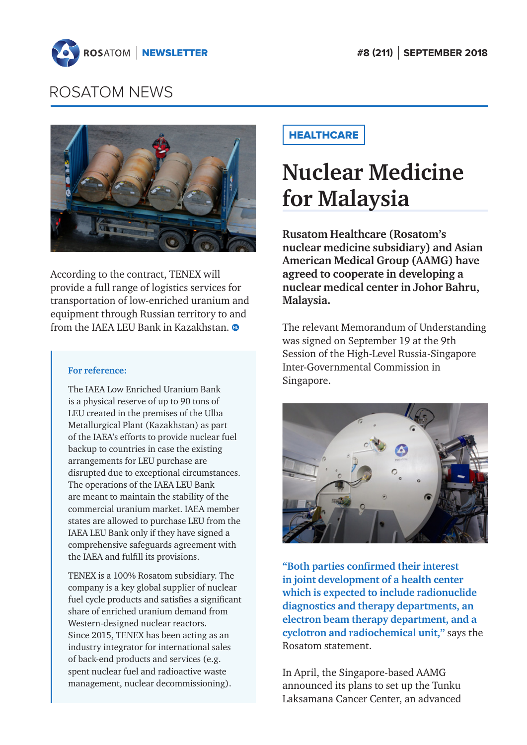<span id="page-7-0"></span>



According to the contract, TENEX will provide a full range of logistics services for transportation of low-enriched uranium and equipment through Russian territory to and from the IAEA LEU Bank in Kazakhstan.

#### **For reference:**

The IAEA Low Enriched Uranium Bank is a physical reserve of up to 90 tons of LEU created in the premises of the Ulba Metallurgical Plant (Kazakhstan) as part of the IAEA's efforts to provide nuclear fuel backup to countries in case the existing arrangements for LEU purchase are disrupted due to exceptional circumstances. The operations of the IAEA LEU Bank are meant to maintain the stability of the commercial uranium market. IAEA member states are allowed to purchase LEU from the IAEA LEU Bank only if they have signed a comprehensive safeguards agreement with the IAEA and fulfill its provisions.

TENEX is a 100% Rosatom subsidiary. The company is a key global supplier of nuclear fuel cycle products and satisfies a significant share of enriched uranium demand from Western-designed nuclear reactors. Since 2015, TENEX has been acting as an industry integrator for international sales of back-end products and services (e.g. spent nuclear fuel and radioactive waste management, nuclear decommissioning).

### **HEALTHCARE**

# **Nuclear Medicine for Malaysia**

**Rusatom Healthcare (Rosatom's nuclear medicine subsidiary) and Asian American Medical Group (AAMG) have agreed to cooperate in developing a nuclear medical center in Johor Bahru, Malaysia.**

The relevant Memorandum of Understanding was signed on September 19 at the 9th Session of the High-Level Russia-Singapore Inter-Governmental Commission in Singapore.



**"Both parties confirmed their interest in joint development of a health center which is expected to include radionuclide diagnostics and therapy departments, an electron beam therapy department, and a cyclotron and radiochemical unit,"** says the Rosatom statement.

In April, the Singapore-based AAMG announced its plans to set up the Tunku Laksamana Cancer Center, an advanced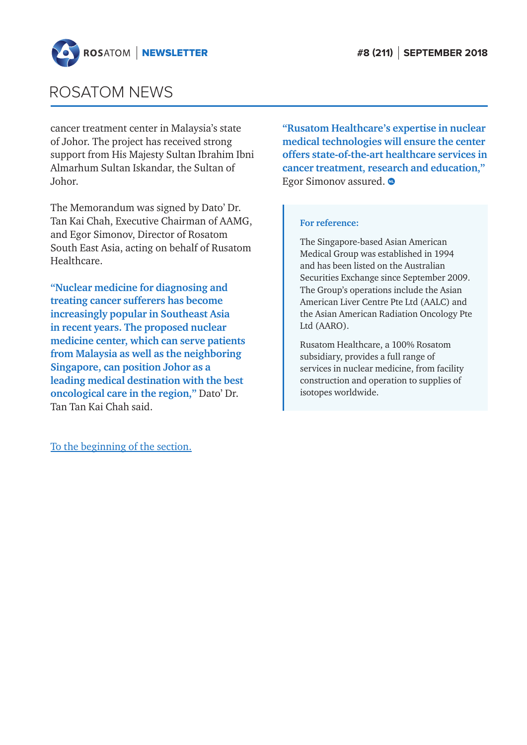

cancer treatment center in Malaysia's state of Johor. The project has received strong support from His Majesty Sultan Ibrahim Ibni Almarhum Sultan Iskandar, the Sultan of Johor.

The Memorandum was signed by Dato' Dr. Tan Kai Chah, Executive Chairman of AAMG, and Egor Simonov, Director of Rosatom South East Asia, acting on behalf of Rusatom Healthcare.

**"Nuclear medicine for diagnosing and treating cancer sufferers has become increasingly popular in Southeast Asia in recent years. The proposed nuclear medicine center, which can serve patients from Malaysia as well as the neighboring Singapore, can position Johor as a leading medical destination with the best oncological care in the region,"** Dato' Dr. Tan Tan Kai Chah said.

[To the beginning of the section.](#page-1-0)

**"Rusatom Healthcare's expertise in nuclear medical technologies will ensure the center offers state-of-the-art healthcare services in cancer treatment, research and education,"** Egor Simonov assured.  $\bullet$ 

#### **For reference:**

The Singapore-based Asian American Medical Group was established in 1994 and has been listed on the Australian Securities Exchange since September 2009. The Group's operations include the Asian American Liver Centre Pte Ltd (AALC) and the Asian American Radiation Oncology Pte Ltd (AARO).

Rusatom Healthcare, a 100% Rosatom subsidiary, provides a full range of services in nuclear medicine, from facility construction and operation to supplies of isotopes worldwide.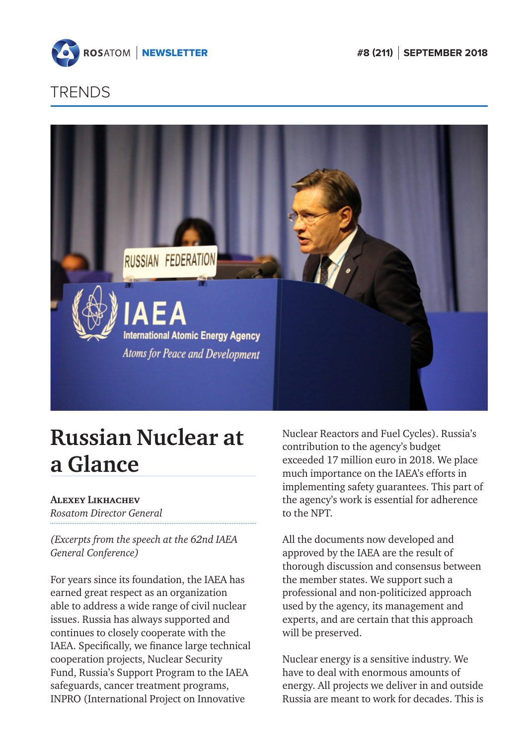<span id="page-9-0"></span>

## **TRENDS**



# **Russian Nuclear at a Glance**

### **Alexey Likhachev**

*Rosatom Director General*

*(Excerpts from the speech at the 62nd IAEA General Conference)*

For years since its foundation, the IAEA has earned great respect as an organization able to address a wide range of civil nuclear issues. Russia has always supported and continues to closely cooperate with the IAEA. Specifically, we finance large technical cooperation projects, Nuclear Security Fund, Russia's Support Program to the IAEA safeguards, cancer treatment programs, INPRO (International Project on Innovative

Nuclear Reactors and Fuel Cycles). Russia's contribution to the agency's budget exceeded 17 million euro in 2018. We place much importance on the IAEA's efforts in implementing safety guarantees. This part of the agency's work is essential for adherence to the NPT.

All the documents now developed and approved by the IAEA are the result of thorough discussion and consensus between the member states. We support such a professional and non-politicized approach used by the agency, its management and experts, and are certain that this approach will be preserved.

Nuclear energy is a sensitive industry. We have to deal with enormous amounts of energy. All projects we deliver in and outside Russia are meant to work for decades. This is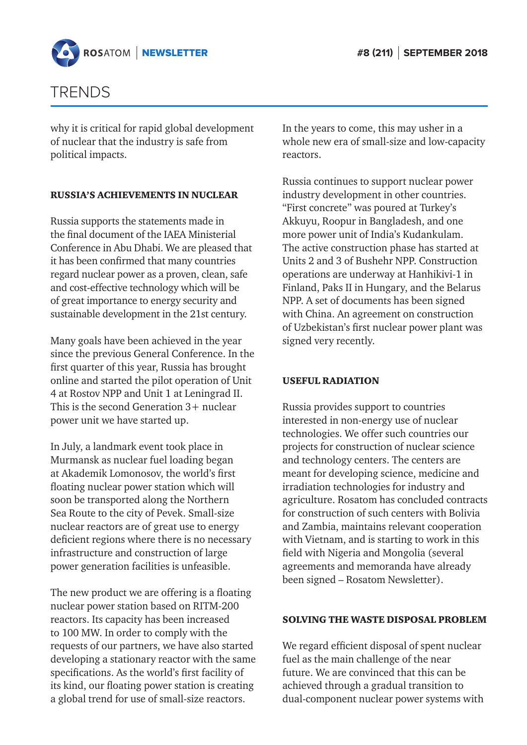

## TRENDS

why it is critical for rapid global development of nuclear that the industry is safe from political impacts.

#### RUSSIA'S ACHIEVEMENTS IN NUCLEAR

Russia supports the statements made in the final document of the IAEA Ministerial Conference in Abu Dhabi. We are pleased that it has been confirmed that many countries regard nuclear power as a proven, clean, safe and cost-effective technology which will be of great importance to energy security and sustainable development in the 21st century.

Many goals have been achieved in the year since the previous General Conference. In the first quarter of this year, Russia has brought online and started the pilot operation of Unit 4 at Rostov NPP and Unit 1 at Leningrad II. This is the second Generation 3+ nuclear power unit we have started up.

In July, a landmark event took place in Murmansk as nuclear fuel loading began at Akademik Lomonosov, the world's first floating nuclear power station which will soon be transported along the Northern Sea Route to the city of Pevek. Small-size nuclear reactors are of great use to energy deficient regions where there is no necessary infrastructure and construction of large power generation facilities is unfeasible.

The new product we are offering is a floating nuclear power station based on RITM-200 reactors. Its capacity has been increased to 100 MW. In order to comply with the requests of our partners, we have also started developing a stationary reactor with the same specifications. As the world's first facility of its kind, our floating power station is creating a global trend for use of small-size reactors.

In the years to come, this may usher in a whole new era of small-size and low-capacity reactors.

Russia continues to support nuclear power industry development in other countries. "First concrete" was poured at Turkey's Akkuyu, Roopur in Bangladesh, and one more power unit of India's Kudankulam. The active construction phase has started at Units 2 and 3 of Bushehr NPP. Construction operations are underway at Hanhikivi-1 in Finland, Paks II in Hungary, and the Belarus NPP. A set of documents has been signed with China. An agreement on construction of Uzbekistan's first nuclear power plant was signed very recently.

#### USEFUL RADIATION

Russia provides support to countries interested in non-energy use of nuclear technologies. We offer such countries our projects for construction of nuclear science and technology centers. The centers are meant for developing science, medicine and irradiation technologies for industry and agriculture. Rosatom has concluded contracts for construction of such centers with Bolivia and Zambia, maintains relevant cooperation with Vietnam, and is starting to work in this field with Nigeria and Mongolia (several agreements and memoranda have already been signed – Rosatom Newsletter).

#### SOLVING THE WASTE DISPOSAL PROBLEM

We regard efficient disposal of spent nuclear fuel as the main challenge of the near future. We are convinced that this can be achieved through a gradual transition to dual-component nuclear power systems with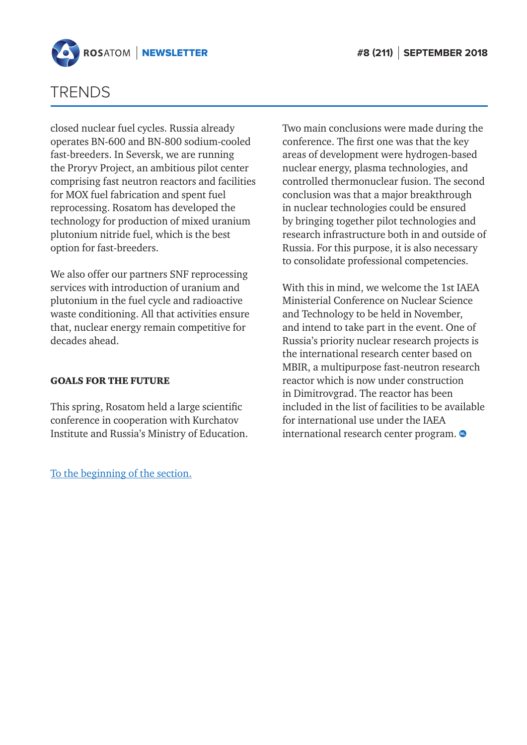

## TRENDS

closed nuclear fuel cycles. Russia already operates BN-600 and BN-800 sodium-cooled fast-breeders. In Seversk, we are running the Proryv Project, an ambitious pilot center comprising fast neutron reactors and facilities for MOX fuel fabrication and spent fuel reprocessing. Rosatom has developed the technology for production of mixed uranium plutonium nitride fuel, which is the best option for fast-breeders.

We also offer our partners SNF reprocessing services with introduction of uranium and plutonium in the fuel cycle and radioactive waste conditioning. All that activities ensure that, nuclear energy remain competitive for decades ahead.

#### GOALS FOR THE FUTURE

This spring, Rosatom held a large scientific conference in cooperation with Kurchatov Institute and Russia's Ministry of Education.

[To the beginning of the section.](#page-9-0)

Two main conclusions were made during the conference. The first one was that the key areas of development were hydrogen-based nuclear energy, plasma technologies, and controlled thermonuclear fusion. The second conclusion was that a major breakthrough in nuclear technologies could be ensured by bringing together pilot technologies and research infrastructure both in and outside of Russia. For this purpose, it is also necessary to consolidate professional competencies.

With this in mind, we welcome the 1st IAEA Ministerial Conference on Nuclear Science and Technology to be held in November, and intend to take part in the event. One of Russia's priority nuclear research projects is the international research center based on MBIR, a multipurpose fast-neutron research reactor which is now under construction in Dimitrovgrad. The reactor has been included in the list of facilities to be available for international use under the IAEA international research center program.